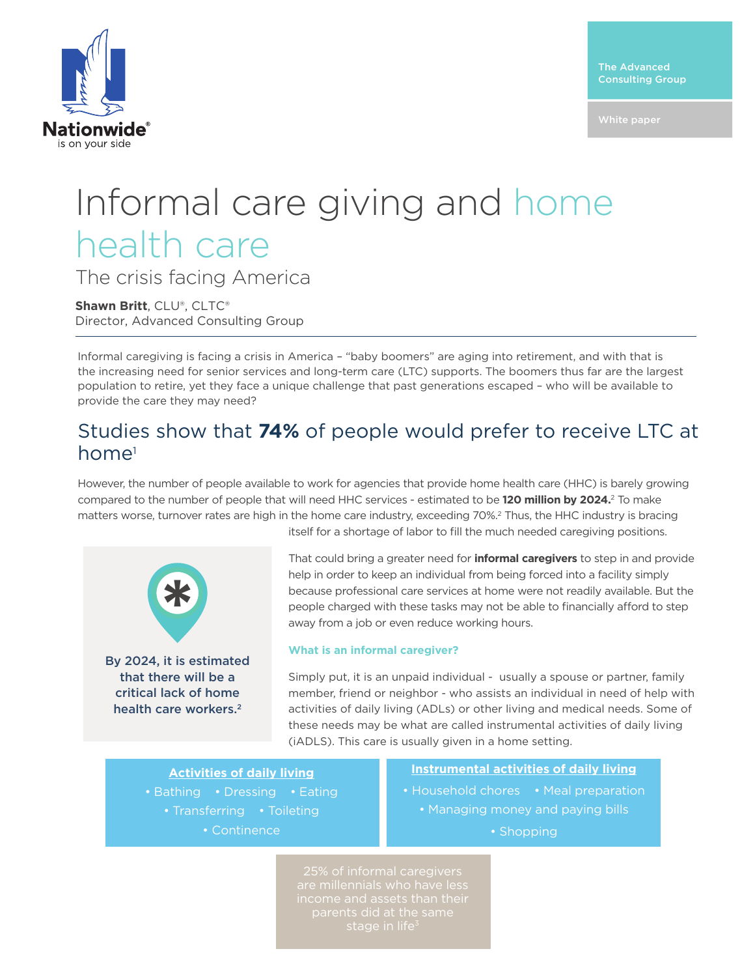

White paper

# Informal care giving and home health care

The crisis facing America

**Shawn Britt**, CLU®, CLTC® Director, Advanced Consulting Group

Informal caregiving is facing a crisis in America – "baby boomers" are aging into retirement, and with that is the increasing need for senior services and long-term care (LTC) supports. The boomers thus far are the largest population to retire, yet they face a unique challenge that past generations escaped – who will be available to provide the care they may need?

### Studies show that **74%** of people would prefer to receive LTC at home<sup>1</sup>

However, the number of people available to work for agencies that provide home health care (HHC) is barely growing compared to the number of people that will need HHC services - estimated to be **120 million by 2024.**2 To make matters worse, turnover rates are high in the home care industry, exceeding 70%.2 Thus, the HHC industry is bracing



itself for a shortage of labor to fill the much needed caregiving positions.

That could bring a greater need for **informal caregivers** to step in and provide help in order to keep an individual from being forced into a facility simply because professional care services at home were not readily available. But the people charged with these tasks may not be able to financially afford to step away from a job or even reduce working hours.

#### **What is an informal caregiver?**

Simply put, it is an unpaid individual - usually a spouse or partner, family member, friend or neighbor - who assists an individual in need of help with activities of daily living (ADLs) or other living and medical needs. Some of these needs may be what are called instrumental activities of daily living (iADLS). This care is usually given in a home setting.

**Activities of daily living** • Bathing • Dressing • Eating

- Transferring Toileting
	- Continence

**Instrumental activities of daily living**

- Household chores Meal preparation • Managing money and paying bills
	- Shopping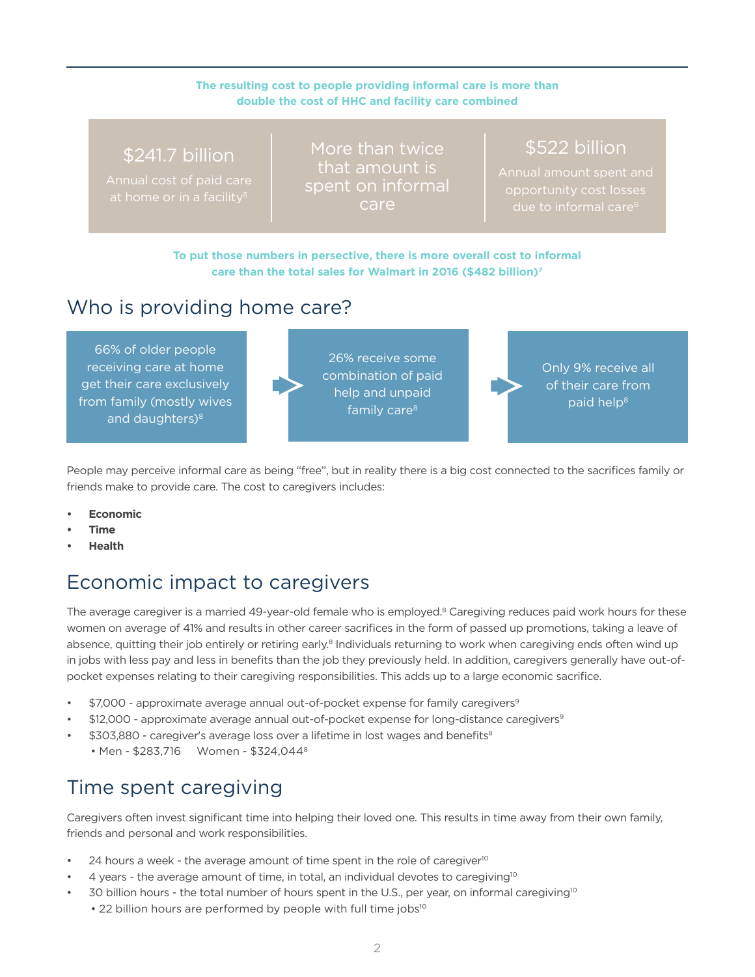#### **The resulting cost to people providing informal care is more than double the cost of HHC and facility care combined**

#### \$241.7 billion

Annual cost of paid care

More than twice that amount is spent on informal care

## \$522 billion

Annual amount spent and

**To put those numbers in persective, there is more overall cost to informal care than the total sales for Walmart in 2016 (\$482 billion)7**

## Who is providing home care?

66% of older people receiving care at home get their care exclusively from family (mostly wives and daughters)<sup>8</sup>

26% receive some combination of paid help and unpaid family care<sup>8</sup>

Only 9% receive all of their care from paid help<sup>8</sup>

People may perceive informal care as being "free", but in reality there is a big cost connected to the sacrifices family or friends make to provide care. The cost to caregivers includes:

- **• Economic**
- **• Time**
- **• Health**

# Economic impact to caregivers

The average caregiver is a married 49-year-old female who is employed.<sup>8</sup> Caregiving reduces paid work hours for these women on average of 41% and results in other career sacrifices in the form of passed up promotions, taking a leave of absence, quitting their job entirely or retiring early.<sup>8</sup> Individuals returning to work when caregiving ends often wind up in jobs with less pay and less in benefits than the job they previously held. In addition, caregivers generally have out-ofpocket expenses relating to their caregiving responsibilities. This adds up to a large economic sacrifice.

- \$7,000 approximate average annual out-of-pocket expense for family caregivers<sup>9</sup>
- \$12,000 approximate average annual out-of-pocket expense for long-distance caregivers<sup>9</sup>
- \$303,880 caregiver's average loss over a lifetime in lost wages and benefits<sup>8</sup>
	- Men \$283,716 Women \$324,044<sup>8</sup>

# Time spent caregiving

Caregivers often invest significant time into helping their loved one. This results in time away from their own family, friends and personal and work responsibilities.

- 24 hours a week the average amount of time spent in the role of caregiver<sup>10</sup>
- $4$  years the average amount of time, in total, an individual devotes to caregiving<sup>10</sup>
- 30 billion hours the total number of hours spent in the U.S., per year, on informal caregiving<sup>10</sup> • 22 billion hours are performed by people with full time jobs<sup>10</sup>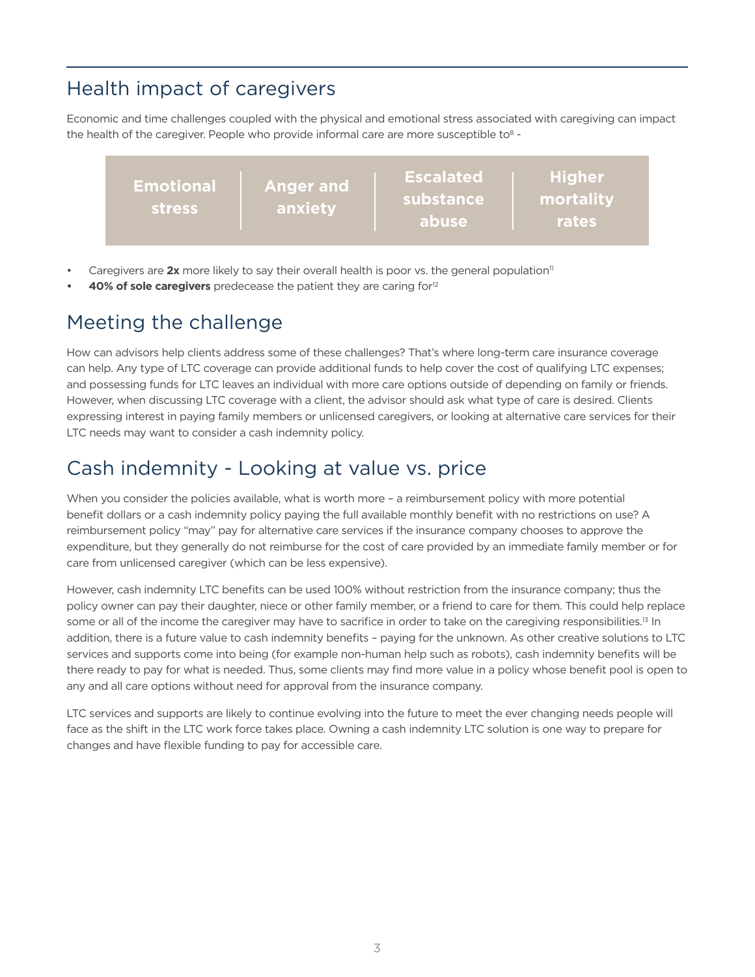# Health impact of caregivers

Economic and time challenges coupled with the physical and emotional stress associated with caregiving can impact the health of the caregiver. People who provide informal care are more susceptible to<sup>8</sup> -

| <b>Anger and</b><br><b>Emotional</b><br>anxiety<br><b>stress</b> | <b>Escalated</b><br>substance<br>abuse | <b>Higher</b><br>mortality<br>rates |
|------------------------------------------------------------------|----------------------------------------|-------------------------------------|
|------------------------------------------------------------------|----------------------------------------|-------------------------------------|

- Caregivers are 2x more likely to say their overall health is poor vs. the general population<sup>11</sup>
- **40% of sole caregivers** predecease the patient they are caring for<sup>12</sup>

# Meeting the challenge

How can advisors help clients address some of these challenges? That's where long-term care insurance coverage can help. Any type of LTC coverage can provide additional funds to help cover the cost of qualifying LTC expenses; and possessing funds for LTC leaves an individual with more care options outside of depending on family or friends. However, when discussing LTC coverage with a client, the advisor should ask what type of care is desired. Clients expressing interest in paying family members or unlicensed caregivers, or looking at alternative care services for their LTC needs may want to consider a cash indemnity policy.

### Cash indemnity - Looking at value vs. price

When you consider the policies available, what is worth more - a reimbursement policy with more potential benefit dollars or a cash indemnity policy paying the full available monthly benefit with no restrictions on use? A reimbursement policy "may" pay for alternative care services if the insurance company chooses to approve the expenditure, but they generally do not reimburse for the cost of care provided by an immediate family member or for care from unlicensed caregiver (which can be less expensive).

However, cash indemnity LTC benefits can be used 100% without restriction from the insurance company; thus the policy owner can pay their daughter, niece or other family member, or a friend to care for them. This could help replace some or all of the income the caregiver may have to sacrifice in order to take on the caregiving responsibilities.<sup>13</sup> In addition, there is a future value to cash indemnity benefits – paying for the unknown. As other creative solutions to LTC services and supports come into being (for example non-human help such as robots), cash indemnity benefits will be there ready to pay for what is needed. Thus, some clients may find more value in a policy whose benefit pool is open to any and all care options without need for approval from the insurance company.

LTC services and supports are likely to continue evolving into the future to meet the ever changing needs people will face as the shift in the LTC work force takes place. Owning a cash indemnity LTC solution is one way to prepare for changes and have flexible funding to pay for accessible care.